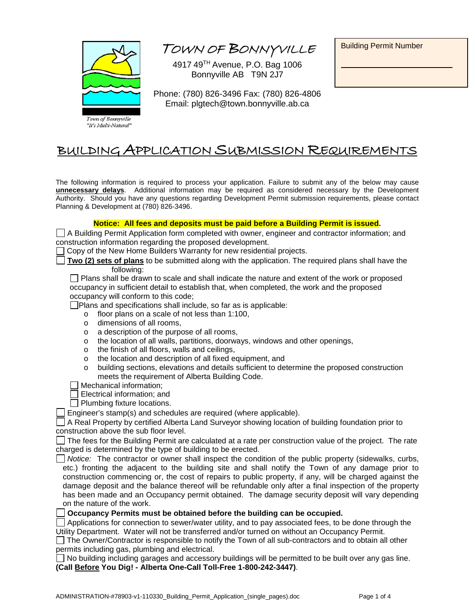

TOWN OF BONNYVILLE

4917 49TH Avenue, P.O. Bag 1006 Bonnyville AB T9N 2J7

Building Permit Number

Phone: (780) 826-3496 Fax: (780) 826-4806 Email: plgtech@town.bonnyville.ab.ca

# BUILDING APPLICATION SUBMISSION REQUIREMENTS

The following information is required to process your application. Failure to submit any of the below may cause **unnecessary delays**. Additional information may be required as considered necessary by the Development Authority. Should you have any questions regarding Development Permit submission requirements, please contact Planning & Development at (780) 826-3496.

### **Notice: All fees and deposits must be paid before a Building Permit is issued.**

A Building Permit Application form completed with owner, engineer and contractor information; and construction information regarding the proposed development.

Copy of the New Home Builders Warranty for new residential projects.

**Two (2) sets of plans** to be submitted along with the application. The required plans shall have the following:

 $\Box$  Plans shall be drawn to scale and shall indicate the nature and extent of the work or proposed occupancy in sufficient detail to establish that, when completed, the work and the proposed occupancy will conform to this code;

 $\Box$ Plans and specifications shall include, so far as is applicable:

- o floor plans on a scale of not less than 1:100,
- o dimensions of all rooms,
- o a description of the purpose of all rooms,
- o the location of all walls, partitions, doorways, windows and other openings,
- o the finish of all floors, walls and ceilings,
- 
- o the location and description of all fixed equipment, and<br>
o building sections, elevations and details sufficient to det building sections, elevations and details sufficient to determine the proposed construction meets the requirement of Alberta Building Code.

 $\Box$  Mechanical information;

 $\Box$  Electrical information; and

 $\Box$  Plumbing fixture locations.

Engineer's stamp(s) and schedules are required (where applicable).

□ A Real Property by certified Alberta Land Surveyor showing location of building foundation prior to construction above the sub floor level.

 $\Box$  The fees for the Building Permit are calculated at a rate per construction value of the project. The rate charged is determined by the type of building to be erected.

| Notice: The contractor or owner shall inspect the condition of the public property (sidewalks, curbs,   |
|---------------------------------------------------------------------------------------------------------|
| etc.) fronting the adjacent to the building site and shall notify the Town of any damage prior to       |
| construction commencing or, the cost of repairs to public property, if any, will be charged against the |
| damage deposit and the balance thereof will be refundable only after a final inspection of the property |
| has been made and an Occupancy permit obtained. The damage security deposit will vary depending         |
| on the nature of the work.                                                                              |

#### **Occupancy Permits must be obtained before the building can be occupied.**

Applications for connection to sewer/water utility, and to pay associated fees, to be done through the Utility Department. Water will not be transferred and/or turned on without an Occupancy Permit.

 $\Box$  The Owner/Contractor is responsible to notify the Town of all sub-contractors and to obtain all other permits including gas, plumbing and electrical.

 $\Box$  No building including garages and accessory buildings will be permitted to be built over any gas line. **(Call Before You Dig! - Alberta One-Call Toll-Free 1-800-242-3447)**.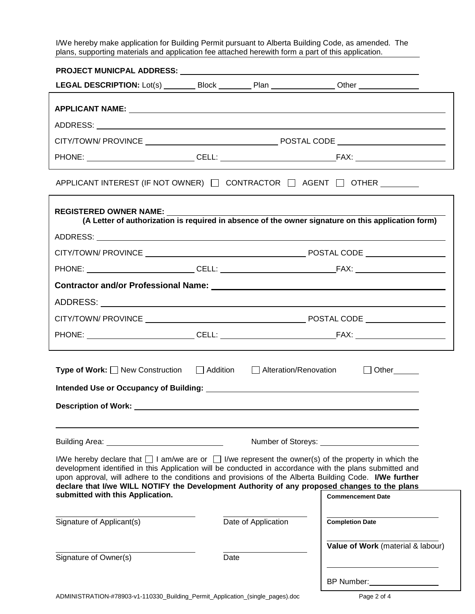I/We hereby make application for Building Permit pursuant to Alberta Building Code, as amended. The plans, supporting materials and application fee attached herewith form a part of this application.

| LEGAL DESCRIPTION: Lot(s) _________ Block _________ Plan ________________ Other _______________<br>APPLICANT INTEREST (IF NOT OWNER) $\Box$ CONTRACTOR $\Box$ AGENT $\Box$ OTHER _______<br>(A Letter of authorization is required in absence of the owner signature on this application form)<br>Type of Work: □ New Construction □ Addition □ Alteration/Renovation<br>$\Box$ Other $\_\_\_\_\_\$<br><b>Description of Work:</b><br>Building Area: 1999 and 1999 and 1999 and 1999 and 1999 and 1999 and 1999 and 1999 and 1999 and 199<br>I/We hereby declare that $\Box$ I am/we are or $\Box$ I/we represent the owner(s) of the property in which the<br>development identified in this Application will be conducted in accordance with the plans submitted and<br>upon approval, will adhere to the conditions and provisions of the Alberta Building Code. I/We further<br>declare that I/we WILL NOTIFY the Development Authority of any proposed changes to the plans<br>submitted with this Application.<br><b>Commencement Date</b><br><b>Completion Date</b><br>Signature of Applicant(s)<br>Date of Application<br>Value of Work (material & labour)<br>Signature of Owner(s)<br>Date |  |  |  |                 |
|------------------------------------------------------------------------------------------------------------------------------------------------------------------------------------------------------------------------------------------------------------------------------------------------------------------------------------------------------------------------------------------------------------------------------------------------------------------------------------------------------------------------------------------------------------------------------------------------------------------------------------------------------------------------------------------------------------------------------------------------------------------------------------------------------------------------------------------------------------------------------------------------------------------------------------------------------------------------------------------------------------------------------------------------------------------------------------------------------------------------------------------------------------------------------------------------------|--|--|--|-----------------|
|                                                                                                                                                                                                                                                                                                                                                                                                                                                                                                                                                                                                                                                                                                                                                                                                                                                                                                                                                                                                                                                                                                                                                                                                      |  |  |  |                 |
|                                                                                                                                                                                                                                                                                                                                                                                                                                                                                                                                                                                                                                                                                                                                                                                                                                                                                                                                                                                                                                                                                                                                                                                                      |  |  |  |                 |
|                                                                                                                                                                                                                                                                                                                                                                                                                                                                                                                                                                                                                                                                                                                                                                                                                                                                                                                                                                                                                                                                                                                                                                                                      |  |  |  |                 |
|                                                                                                                                                                                                                                                                                                                                                                                                                                                                                                                                                                                                                                                                                                                                                                                                                                                                                                                                                                                                                                                                                                                                                                                                      |  |  |  |                 |
|                                                                                                                                                                                                                                                                                                                                                                                                                                                                                                                                                                                                                                                                                                                                                                                                                                                                                                                                                                                                                                                                                                                                                                                                      |  |  |  |                 |
|                                                                                                                                                                                                                                                                                                                                                                                                                                                                                                                                                                                                                                                                                                                                                                                                                                                                                                                                                                                                                                                                                                                                                                                                      |  |  |  |                 |
|                                                                                                                                                                                                                                                                                                                                                                                                                                                                                                                                                                                                                                                                                                                                                                                                                                                                                                                                                                                                                                                                                                                                                                                                      |  |  |  |                 |
|                                                                                                                                                                                                                                                                                                                                                                                                                                                                                                                                                                                                                                                                                                                                                                                                                                                                                                                                                                                                                                                                                                                                                                                                      |  |  |  |                 |
|                                                                                                                                                                                                                                                                                                                                                                                                                                                                                                                                                                                                                                                                                                                                                                                                                                                                                                                                                                                                                                                                                                                                                                                                      |  |  |  |                 |
|                                                                                                                                                                                                                                                                                                                                                                                                                                                                                                                                                                                                                                                                                                                                                                                                                                                                                                                                                                                                                                                                                                                                                                                                      |  |  |  |                 |
|                                                                                                                                                                                                                                                                                                                                                                                                                                                                                                                                                                                                                                                                                                                                                                                                                                                                                                                                                                                                                                                                                                                                                                                                      |  |  |  |                 |
|                                                                                                                                                                                                                                                                                                                                                                                                                                                                                                                                                                                                                                                                                                                                                                                                                                                                                                                                                                                                                                                                                                                                                                                                      |  |  |  |                 |
|                                                                                                                                                                                                                                                                                                                                                                                                                                                                                                                                                                                                                                                                                                                                                                                                                                                                                                                                                                                                                                                                                                                                                                                                      |  |  |  |                 |
|                                                                                                                                                                                                                                                                                                                                                                                                                                                                                                                                                                                                                                                                                                                                                                                                                                                                                                                                                                                                                                                                                                                                                                                                      |  |  |  |                 |
|                                                                                                                                                                                                                                                                                                                                                                                                                                                                                                                                                                                                                                                                                                                                                                                                                                                                                                                                                                                                                                                                                                                                                                                                      |  |  |  |                 |
|                                                                                                                                                                                                                                                                                                                                                                                                                                                                                                                                                                                                                                                                                                                                                                                                                                                                                                                                                                                                                                                                                                                                                                                                      |  |  |  |                 |
|                                                                                                                                                                                                                                                                                                                                                                                                                                                                                                                                                                                                                                                                                                                                                                                                                                                                                                                                                                                                                                                                                                                                                                                                      |  |  |  |                 |
|                                                                                                                                                                                                                                                                                                                                                                                                                                                                                                                                                                                                                                                                                                                                                                                                                                                                                                                                                                                                                                                                                                                                                                                                      |  |  |  |                 |
|                                                                                                                                                                                                                                                                                                                                                                                                                                                                                                                                                                                                                                                                                                                                                                                                                                                                                                                                                                                                                                                                                                                                                                                                      |  |  |  |                 |
|                                                                                                                                                                                                                                                                                                                                                                                                                                                                                                                                                                                                                                                                                                                                                                                                                                                                                                                                                                                                                                                                                                                                                                                                      |  |  |  |                 |
|                                                                                                                                                                                                                                                                                                                                                                                                                                                                                                                                                                                                                                                                                                                                                                                                                                                                                                                                                                                                                                                                                                                                                                                                      |  |  |  |                 |
|                                                                                                                                                                                                                                                                                                                                                                                                                                                                                                                                                                                                                                                                                                                                                                                                                                                                                                                                                                                                                                                                                                                                                                                                      |  |  |  |                 |
|                                                                                                                                                                                                                                                                                                                                                                                                                                                                                                                                                                                                                                                                                                                                                                                                                                                                                                                                                                                                                                                                                                                                                                                                      |  |  |  |                 |
|                                                                                                                                                                                                                                                                                                                                                                                                                                                                                                                                                                                                                                                                                                                                                                                                                                                                                                                                                                                                                                                                                                                                                                                                      |  |  |  |                 |
|                                                                                                                                                                                                                                                                                                                                                                                                                                                                                                                                                                                                                                                                                                                                                                                                                                                                                                                                                                                                                                                                                                                                                                                                      |  |  |  | BP Number: 1997 |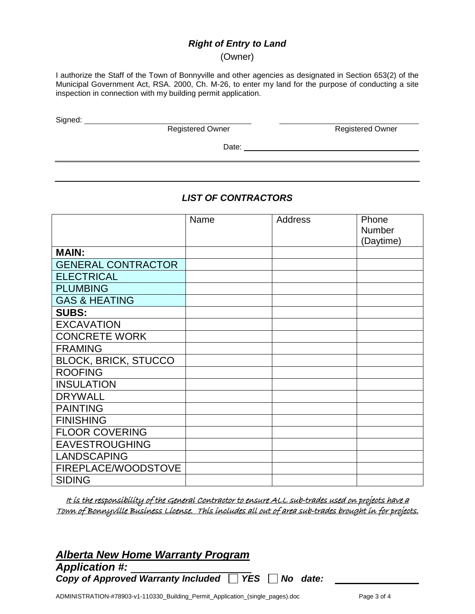### *Right of Entry to Land*

### (Owner)

I authorize the Staff of the Town of Bonnyville and other agencies as designated in Section 653(2) of the Municipal Government Act, RSA. 2000, Ch. M-26, to enter my land for the purpose of conducting a site inspection in connection with my building permit application.

Signed:

Registered Owner **Registered Owner** 

Date:

# *LIST OF CONTRACTORS*

|                             | Name | <b>Address</b> | Phone<br>Number<br>(Daytime) |
|-----------------------------|------|----------------|------------------------------|
| <b>MAIN:</b>                |      |                |                              |
| <b>GENERAL CONTRACTOR</b>   |      |                |                              |
| <b>ELECTRICAL</b>           |      |                |                              |
| <b>PLUMBING</b>             |      |                |                              |
| <b>GAS &amp; HEATING</b>    |      |                |                              |
| <b>SUBS:</b>                |      |                |                              |
| <b>EXCAVATION</b>           |      |                |                              |
| <b>CONCRETE WORK</b>        |      |                |                              |
| <b>FRAMING</b>              |      |                |                              |
| <b>BLOCK, BRICK, STUCCO</b> |      |                |                              |
| <b>ROOFING</b>              |      |                |                              |
| <b>INSULATION</b>           |      |                |                              |
| <b>DRYWALL</b>              |      |                |                              |
| <b>PAINTING</b>             |      |                |                              |
| <b>FINISHING</b>            |      |                |                              |
| <b>FLOOR COVERING</b>       |      |                |                              |
| <b>EAVESTROUGHING</b>       |      |                |                              |
| <b>LANDSCAPING</b>          |      |                |                              |
| FIREPLACE/WOODSTOVE         |      |                |                              |
| <b>SIDING</b>               |      |                |                              |

It is the responsibility of the General Contractor to ensure ALL sub-trades used on projects have a Town of Bonnyville Business License. This includes all out of area sub-trades brought in for projects.

# *Alberta New Home Warranty Program*

*Application #:* 

*Copy of Approved Warranty Included VES No date:* 

ADMINISTRATION-#78903-v1-110330\_Building\_Permit\_Application\_(single\_pages).doc Page 3 of 4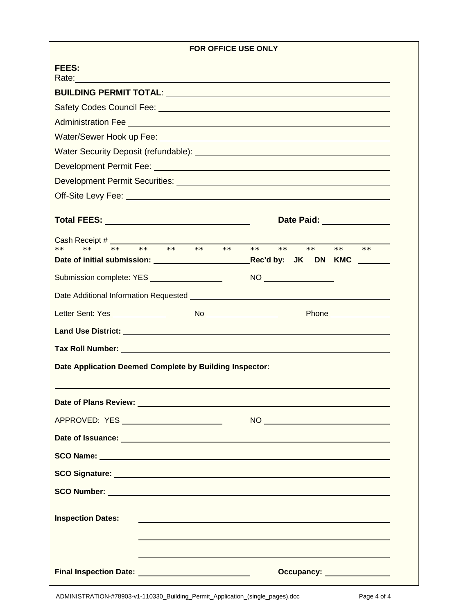| <b>FOR OFFICE USE ONLY</b>                                                                                                                                                                                                               |                                                                                                                                                                                                                                          |  |  |
|------------------------------------------------------------------------------------------------------------------------------------------------------------------------------------------------------------------------------------------|------------------------------------------------------------------------------------------------------------------------------------------------------------------------------------------------------------------------------------------|--|--|
| FEES:                                                                                                                                                                                                                                    |                                                                                                                                                                                                                                          |  |  |
| BUILDING PERMIT TOTAL: University of the contract of the contract of the contract of the contract of the contract of the contract of the contract of the contract of the contract of the contract of the contract of the contr           |                                                                                                                                                                                                                                          |  |  |
| Safety Codes Council Fee: <b>With the Contract of the Contract of Contract of the Contract of Contract of Council</b>                                                                                                                    |                                                                                                                                                                                                                                          |  |  |
| Administration Fee <b>Administration</b> Fee <b>Administration</b> Contract Contract Contract Contract Contract Contract Contract Contract Contract Contract Contract Contract Contract Contract Contract Contract Contract Contract Con |                                                                                                                                                                                                                                          |  |  |
|                                                                                                                                                                                                                                          |                                                                                                                                                                                                                                          |  |  |
|                                                                                                                                                                                                                                          |                                                                                                                                                                                                                                          |  |  |
|                                                                                                                                                                                                                                          |                                                                                                                                                                                                                                          |  |  |
| Development Permit Securities: Later and Alexander According to the Alexander According to the Alexander According to the Alexander According to the Alexander According to the Alexander According to the Alexander According           |                                                                                                                                                                                                                                          |  |  |
|                                                                                                                                                                                                                                          |                                                                                                                                                                                                                                          |  |  |
|                                                                                                                                                                                                                                          | Date Paid: <u>________________</u>                                                                                                                                                                                                       |  |  |
|                                                                                                                                                                                                                                          | ** ** **                                                                                                                                                                                                                                 |  |  |
|                                                                                                                                                                                                                                          | **<br>$**$                                                                                                                                                                                                                               |  |  |
| Submission complete: YES ___________________                                                                                                                                                                                             | NO                                                                                                                                                                                                                                       |  |  |
|                                                                                                                                                                                                                                          |                                                                                                                                                                                                                                          |  |  |
|                                                                                                                                                                                                                                          | No Phone Phone                                                                                                                                                                                                                           |  |  |
|                                                                                                                                                                                                                                          |                                                                                                                                                                                                                                          |  |  |
|                                                                                                                                                                                                                                          |                                                                                                                                                                                                                                          |  |  |
| Date Application Deemed Complete by Building Inspector:                                                                                                                                                                                  |                                                                                                                                                                                                                                          |  |  |
| Date of Plans Review: New York Change and Change and Change and Change and Change and Change and Change and Change and Change and Change and Change and Change and Change and Change and Change and Change and Change and Chan           |                                                                                                                                                                                                                                          |  |  |
| APPROVED: YES ________________________                                                                                                                                                                                                   | NO <sub>ther</sub> and the state of the state of the state of the state of the state of the state of the state of the state of the state of the state of the state of the state of the state of the state of the state of the state of t |  |  |
| Date of Issuance: <u>experience</u> and the contract of the contract of the contract of the contract of the contract of                                                                                                                  |                                                                                                                                                                                                                                          |  |  |
| SCO Name: <u>experimental and control and control and control and control and control and control and control and control and control and control and control and control and control and control and control and control and co</u>     |                                                                                                                                                                                                                                          |  |  |
|                                                                                                                                                                                                                                          |                                                                                                                                                                                                                                          |  |  |
| SCO Number: <u>New York: New York: New York: New York: New York: New York: New York: New York: New York: New York: New York: New York: New York: New York: New York: New York: New York: New York: New York: New York: New York:</u>     |                                                                                                                                                                                                                                          |  |  |
| <b>Inspection Dates:</b><br><u>a sa barang ang pagbabang nagarang pang</u> alang ang pangalang ang pangalang ang pangalang ang pangalang ang pang                                                                                        |                                                                                                                                                                                                                                          |  |  |
|                                                                                                                                                                                                                                          |                                                                                                                                                                                                                                          |  |  |
| Final Inspection Date: _____________________________                                                                                                                                                                                     | Occupancy: _______________                                                                                                                                                                                                               |  |  |